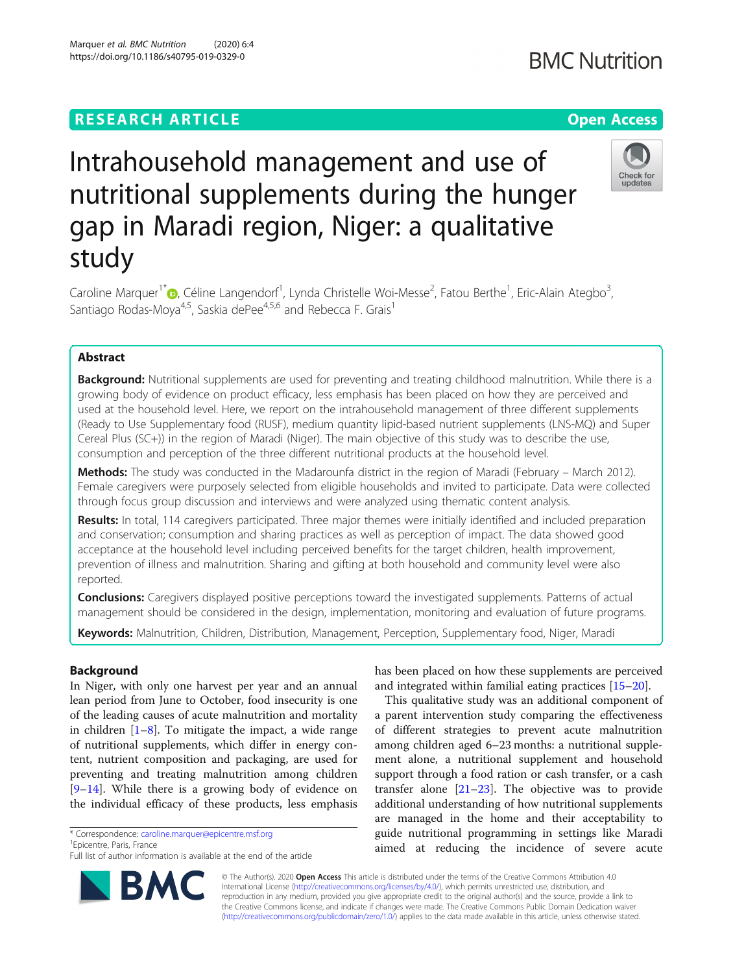## **RESEARCH ARTICLE Example 2014 12:30 The Contract of Contract ACCESS**

# Intrahousehold management and use of nutritional supplements during the hunger gap in Maradi region, Niger: a qualitative study

Caroline Marquer<sup>1\*</sup>®, Céline Langendorf<sup>1</sup>, Lynda Christelle Woi-Messe<sup>2</sup>, Fatou Berthe<sup>1</sup>, Eric-Alain Ategbo<sup>3</sup> , Santiago Rodas-Moya<sup>4,5</sup>, Saskia dePee<sup>4,5,6</sup> and Rebecca F. Grais<sup>1</sup>

## Abstract

Background: Nutritional supplements are used for preventing and treating childhood malnutrition. While there is a growing body of evidence on product efficacy, less emphasis has been placed on how they are perceived and used at the household level. Here, we report on the intrahousehold management of three different supplements (Ready to Use Supplementary food (RUSF), medium quantity lipid-based nutrient supplements (LNS-MQ) and Super Cereal Plus (SC+)) in the region of Maradi (Niger). The main objective of this study was to describe the use, consumption and perception of the three different nutritional products at the household level.

Methods: The study was conducted in the Madarounfa district in the region of Maradi (February – March 2012). Female caregivers were purposely selected from eligible households and invited to participate. Data were collected through focus group discussion and interviews and were analyzed using thematic content analysis.

Results: In total, 114 caregivers participated. Three major themes were initially identified and included preparation and conservation; consumption and sharing practices as well as perception of impact. The data showed good acceptance at the household level including perceived benefits for the target children, health improvement, prevention of illness and malnutrition. Sharing and gifting at both household and community level were also reported.

**Conclusions:** Caregivers displayed positive perceptions toward the investigated supplements. Patterns of actual management should be considered in the design, implementation, monitoring and evaluation of future programs.

Keywords: Malnutrition, Children, Distribution, Management, Perception, Supplementary food, Niger, Maradi

## Background

In Niger, with only one harvest per year and an annual lean period from June to October, food insecurity is one of the leading causes of acute malnutrition and mortality in children  $[1-8]$  $[1-8]$  $[1-8]$ . To mitigate the impact, a wide range of nutritional supplements, which differ in energy content, nutrient composition and packaging, are used for preventing and treating malnutrition among children [[9](#page-6-0)–[14\]](#page-6-0). While there is a growing body of evidence on the individual efficacy of these products, less emphasis

\* Correspondence: [caroline.marquer@epicentre.msf.org](mailto:caroline.marquer@epicentre.msf.org) <sup>1</sup>

<sup>1</sup> Epicentre, Paris, France

has been placed on how these supplements are perceived and integrated within familial eating practices [\[15](#page-6-0)–[20\]](#page-6-0). This qualitative study was an additional component of

a parent intervention study comparing the effectiveness of different strategies to prevent acute malnutrition among children aged 6–23 months: a nutritional supplement alone, a nutritional supplement and household support through a food ration or cash transfer, or a cash transfer alone  $[21-23]$  $[21-23]$  $[21-23]$  $[21-23]$  $[21-23]$ . The objective was to provide additional understanding of how nutritional supplements are managed in the home and their acceptability to guide nutritional programming in settings like Maradi aimed at reducing the incidence of severe acute

© The Author(s). 2020 **Open Access** This article is distributed under the terms of the Creative Commons Attribution 4.0 International License [\(http://creativecommons.org/licenses/by/4.0/](http://creativecommons.org/licenses/by/4.0/)), which permits unrestricted use, distribution, and reproduction in any medium, provided you give appropriate credit to the original author(s) and the source, provide a link to the Creative Commons license, and indicate if changes were made. The Creative Commons Public Domain Dedication waiver [\(http://creativecommons.org/publicdomain/zero/1.0/](http://creativecommons.org/publicdomain/zero/1.0/)) applies to the data made available in this article, unless otherwise stated.







Full list of author information is available at the end of the article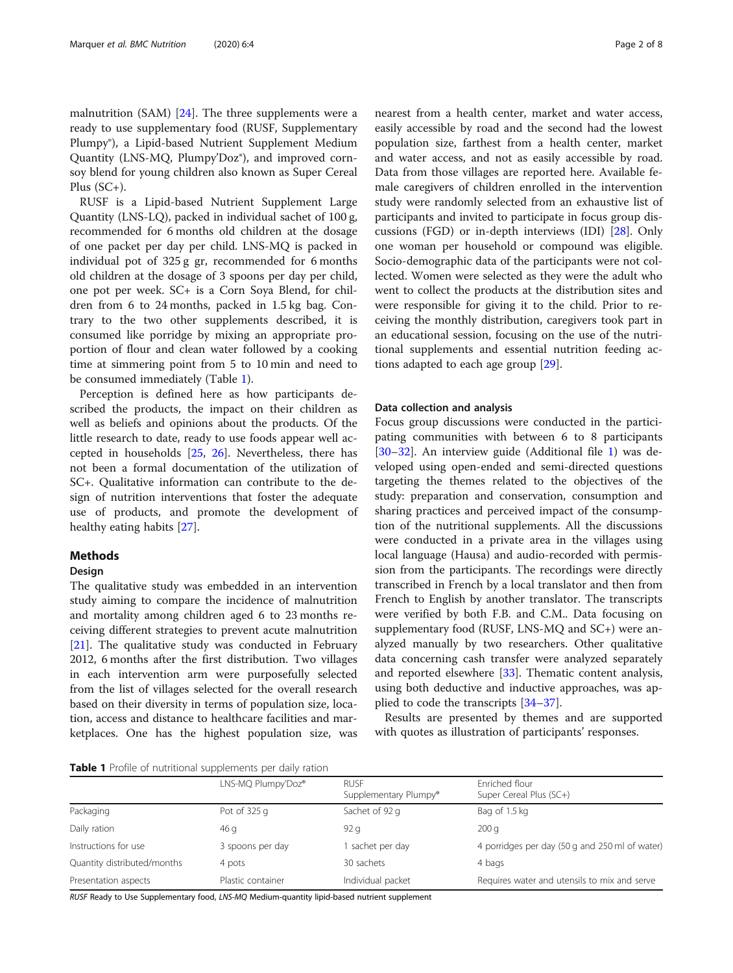malnutrition (SAM) [[24\]](#page-6-0). The three supplements were a ready to use supplementary food (RUSF, Supplementary Plumpy®), a Lipid-based Nutrient Supplement Medium Quantity (LNS-MQ, Plumpy'Doz®), and improved cornsoy blend for young children also known as Super Cereal Plus (SC+).

RUSF is a Lipid-based Nutrient Supplement Large Quantity (LNS-LQ), packed in individual sachet of 100 g, recommended for 6 months old children at the dosage of one packet per day per child. LNS-MQ is packed in individual pot of 325 g gr, recommended for 6 months old children at the dosage of 3 spoons per day per child, one pot per week. SC+ is a Corn Soya Blend, for children from 6 to 24 months, packed in 1.5 kg bag. Contrary to the two other supplements described, it is consumed like porridge by mixing an appropriate proportion of flour and clean water followed by a cooking time at simmering point from 5 to 10 min and need to be consumed immediately (Table 1).

Perception is defined here as how participants described the products, the impact on their children as well as beliefs and opinions about the products. Of the little research to date, ready to use foods appear well accepted in households [\[25](#page-6-0), [26\]](#page-6-0). Nevertheless, there has not been a formal documentation of the utilization of SC+. Qualitative information can contribute to the design of nutrition interventions that foster the adequate use of products, and promote the development of healthy eating habits [\[27](#page-6-0)].

## Methods

#### Design

The qualitative study was embedded in an intervention study aiming to compare the incidence of malnutrition and mortality among children aged 6 to 23 months receiving different strategies to prevent acute malnutrition [[21\]](#page-6-0). The qualitative study was conducted in February 2012, 6 months after the first distribution. Two villages in each intervention arm were purposefully selected from the list of villages selected for the overall research based on their diversity in terms of population size, location, access and distance to healthcare facilities and marketplaces. One has the highest population size, was

nearest from a health center, market and water access, easily accessible by road and the second had the lowest population size, farthest from a health center, market and water access, and not as easily accessible by road. Data from those villages are reported here. Available female caregivers of children enrolled in the intervention study were randomly selected from an exhaustive list of participants and invited to participate in focus group discussions (FGD) or in-depth interviews (IDI) [\[28\]](#page-6-0). Only one woman per household or compound was eligible. Socio-demographic data of the participants were not collected. Women were selected as they were the adult who went to collect the products at the distribution sites and were responsible for giving it to the child. Prior to receiving the monthly distribution, caregivers took part in an educational session, focusing on the use of the nutritional supplements and essential nutrition feeding actions adapted to each age group [[29\]](#page-6-0).

#### Data collection and analysis

Focus group discussions were conducted in the participating communities with between 6 to 8 participants [[30](#page-6-0)–[32](#page-6-0)]. An interview guide (Additional file [1](#page-5-0)) was developed using open-ended and semi-directed questions targeting the themes related to the objectives of the study: preparation and conservation, consumption and sharing practices and perceived impact of the consumption of the nutritional supplements. All the discussions were conducted in a private area in the villages using local language (Hausa) and audio-recorded with permission from the participants. The recordings were directly transcribed in French by a local translator and then from French to English by another translator. The transcripts were verified by both F.B. and C.M.. Data focusing on supplementary food (RUSF, LNS-MQ and SC+) were analyzed manually by two researchers. Other qualitative data concerning cash transfer were analyzed separately and reported elsewhere [[33\]](#page-6-0). Thematic content analysis, using both deductive and inductive approaches, was applied to code the transcripts [\[34](#page-6-0)–[37\]](#page-6-0).

Results are presented by themes and are supported with quotes as illustration of participants' responses.

**Table 1** Profile of nutritional supplements per daily ration

|                             | LNS-MQ Plumpy'Doz® | <b>RUSE</b><br>Supplementary Plumpy® | Enriched flour<br>Super Cereal Plus (SC+)      |  |
|-----------------------------|--------------------|--------------------------------------|------------------------------------------------|--|
| Packaging                   | Pot of 325 g       | Sachet of 92 g                       | Bag of 1.5 kg                                  |  |
| Daily ration                | 46 g               | 92q                                  | 200q                                           |  |
| Instructions for use        | 3 spoons per day   | sachet per day                       | 4 porridges per day (50 g and 250 ml of water) |  |
| Quantity distributed/months | 4 pots             | 30 sachets                           | 4 bags                                         |  |
| Presentation aspects        | Plastic container  | Individual packet                    | Requires water and utensils to mix and serve   |  |

RUSF Ready to Use Supplementary food, LNS-MQ Medium-quantity lipid-based nutrient supplement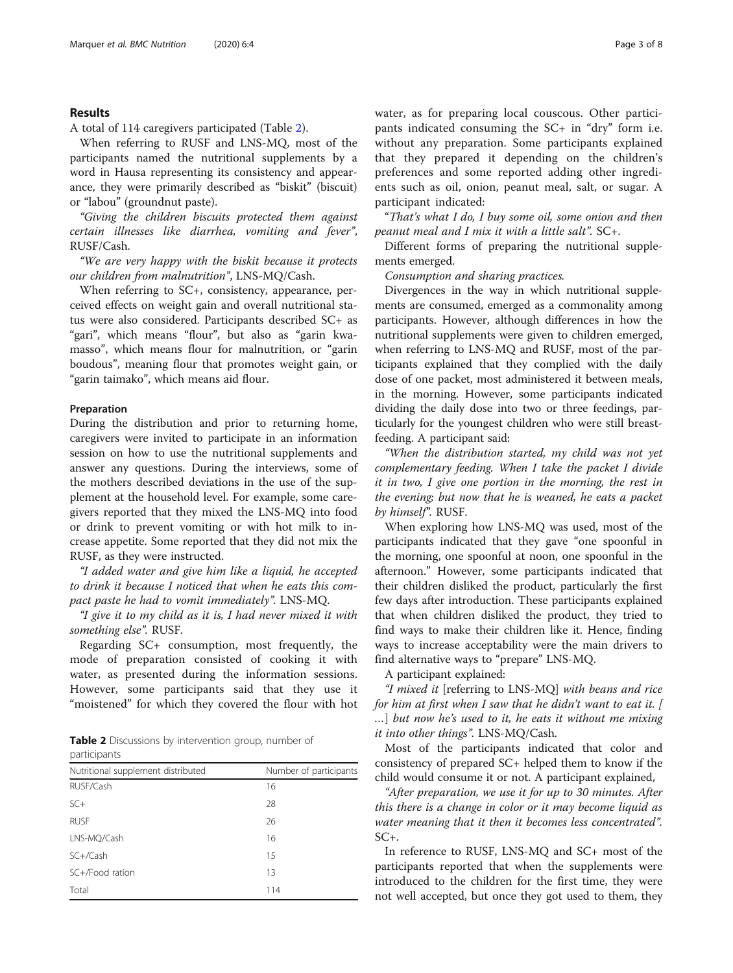#### Results

A total of 114 caregivers participated (Table 2).

When referring to RUSF and LNS-MQ, most of the participants named the nutritional supplements by a word in Hausa representing its consistency and appearance, they were primarily described as "biskit" (biscuit) or "labou" (groundnut paste).

"Giving the children biscuits protected them against certain illnesses like diarrhea, vomiting and fever", RUSF/Cash.

"We are very happy with the biskit because it protects our children from malnutrition", LNS-MQ/Cash.

When referring to SC+, consistency, appearance, perceived effects on weight gain and overall nutritional status were also considered. Participants described SC+ as "gari", which means "flour", but also as "garin kwamasso", which means flour for malnutrition, or "garin boudous", meaning flour that promotes weight gain, or "garin taimako", which means aid flour.

#### Preparation

During the distribution and prior to returning home, caregivers were invited to participate in an information session on how to use the nutritional supplements and answer any questions. During the interviews, some of the mothers described deviations in the use of the supplement at the household level. For example, some caregivers reported that they mixed the LNS-MQ into food or drink to prevent vomiting or with hot milk to increase appetite. Some reported that they did not mix the RUSF, as they were instructed.

"I added water and give him like a liquid, he accepted to drink it because I noticed that when he eats this compact paste he had to vomit immediately". LNS-MQ.

"I give it to my child as it is, I had never mixed it with something else". RUSF.

Regarding SC+ consumption, most frequently, the mode of preparation consisted of cooking it with water, as presented during the information sessions. However, some participants said that they use it "moistened" for which they covered the flour with hot

| <b>Table 2</b> Discussions by intervention group, number of |  |  |  |
|-------------------------------------------------------------|--|--|--|
| participants                                                |  |  |  |

| Nutritional supplement distributed | Number of participants |  |  |
|------------------------------------|------------------------|--|--|
| RUSF/Cash                          | 16                     |  |  |
| $SC+$                              | 28                     |  |  |
| <b>RUSE</b>                        | 26                     |  |  |
| LNS-MQ/Cash                        | 16                     |  |  |
| $SC+ / Cash$                       | 15                     |  |  |
| SC+/Food ration                    | 13                     |  |  |
| Total                              | 114                    |  |  |

water, as for preparing local couscous. Other participants indicated consuming the SC+ in "dry" form i.e. without any preparation. Some participants explained that they prepared it depending on the children's preferences and some reported adding other ingredients such as oil, onion, peanut meal, salt, or sugar. A participant indicated:

"That's what I do, I buy some oil, some onion and then peanut meal and I mix it with a little salt". SC+.

Different forms of preparing the nutritional supplements emerged.

Consumption and sharing practices.

Divergences in the way in which nutritional supplements are consumed, emerged as a commonality among participants. However, although differences in how the nutritional supplements were given to children emerged, when referring to LNS-MQ and RUSF, most of the participants explained that they complied with the daily dose of one packet, most administered it between meals, in the morning. However, some participants indicated dividing the daily dose into two or three feedings, particularly for the youngest children who were still breastfeeding. A participant said:

"When the distribution started, my child was not yet complementary feeding. When I take the packet I divide it in two, I give one portion in the morning, the rest in the evening; but now that he is weaned, he eats a packet by himself". RUSF.

When exploring how LNS-MQ was used, most of the participants indicated that they gave "one spoonful in the morning, one spoonful at noon, one spoonful in the afternoon." However, some participants indicated that their children disliked the product, particularly the first few days after introduction. These participants explained that when children disliked the product, they tried to find ways to make their children like it. Hence, finding ways to increase acceptability were the main drivers to find alternative ways to "prepare" LNS-MQ.

A participant explained:

"I mixed it [referring to LNS-MQ] with beans and rice for him at first when I saw that he didn't want to eat it. [ …] but now he's used to it, he eats it without me mixing it into other things". LNS-MQ/Cash.

Most of the participants indicated that color and consistency of prepared SC+ helped them to know if the child would consume it or not. A participant explained,

"After preparation, we use it for up to 30 minutes. After this there is a change in color or it may become liquid as water meaning that it then it becomes less concentrated". SC+.

In reference to RUSF, LNS-MQ and SC+ most of the participants reported that when the supplements were introduced to the children for the first time, they were not well accepted, but once they got used to them, they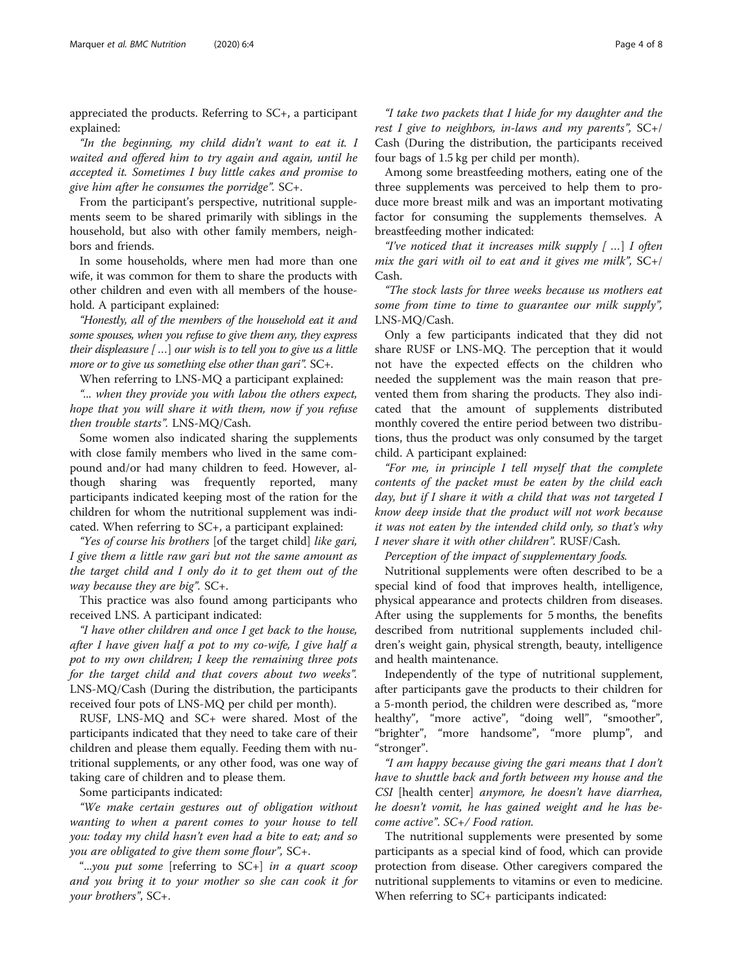appreciated the products. Referring to SC+, a participant explained:

"In the beginning, my child didn't want to eat it. I waited and offered him to try again and again, until he accepted it. Sometimes I buy little cakes and promise to give him after he consumes the porridge". SC+.

From the participant's perspective, nutritional supplements seem to be shared primarily with siblings in the household, but also with other family members, neighbors and friends.

In some households, where men had more than one wife, it was common for them to share the products with other children and even with all members of the household. A participant explained:

"Honestly, all of the members of the household eat it and some spouses, when you refuse to give them any, they express their displeasure  $\lceil \ldots \rceil$  our wish is to tell you to give us a little more or to give us something else other than gari". SC+.

When referring to LNS-MQ a participant explained:

"... when they provide you with labou the others expect, hope that you will share it with them, now if you refuse then trouble starts". LNS-MQ/Cash.

Some women also indicated sharing the supplements with close family members who lived in the same compound and/or had many children to feed. However, although sharing was frequently reported, many participants indicated keeping most of the ration for the children for whom the nutritional supplement was indicated. When referring to SC+, a participant explained:

"Yes of course his brothers [of the target child] like gari, I give them a little raw gari but not the same amount as the target child and I only do it to get them out of the way because they are big".  $SC+$ .

This practice was also found among participants who received LNS. A participant indicated:

"I have other children and once I get back to the house, after I have given half a pot to my co-wife, I give half a pot to my own children; I keep the remaining three pots for the target child and that covers about two weeks". LNS-MQ/Cash (During the distribution, the participants received four pots of LNS-MQ per child per month).

RUSF, LNS-MQ and SC+ were shared. Most of the participants indicated that they need to take care of their children and please them equally. Feeding them with nutritional supplements, or any other food, was one way of taking care of children and to please them.

Some participants indicated:

"We make certain gestures out of obligation without wanting to when a parent comes to your house to tell you: today my child hasn't even had a bite to eat; and so you are obligated to give them some flour", SC+.

"...you put some [referring to  $SC+$ ] in a quart scoop and you bring it to your mother so she can cook it for your brothers", SC+.

"I take two packets that I hide for my daughter and the rest I give to neighbors, in-laws and my parents",  $SC+$ / Cash (During the distribution, the participants received four bags of 1.5 kg per child per month).

Among some breastfeeding mothers, eating one of the three supplements was perceived to help them to produce more breast milk and was an important motivating factor for consuming the supplements themselves. A breastfeeding mother indicated:

"I've noticed that it increases milk supply  $\lceil \ldots \rceil$  I often mix the gari with oil to eat and it gives me milk",  $SC+$ / Cash.

"The stock lasts for three weeks because us mothers eat some from time to time to guarantee our milk supply", LNS-MQ/Cash.

Only a few participants indicated that they did not share RUSF or LNS-MQ. The perception that it would not have the expected effects on the children who needed the supplement was the main reason that prevented them from sharing the products. They also indicated that the amount of supplements distributed monthly covered the entire period between two distributions, thus the product was only consumed by the target child. A participant explained:

"For me, in principle I tell myself that the complete contents of the packet must be eaten by the child each day, but if I share it with a child that was not targeted I know deep inside that the product will not work because it was not eaten by the intended child only, so that's why I never share it with other children". RUSF/Cash.

Perception of the impact of supplementary foods.

Nutritional supplements were often described to be a special kind of food that improves health, intelligence, physical appearance and protects children from diseases. After using the supplements for 5 months, the benefits described from nutritional supplements included children's weight gain, physical strength, beauty, intelligence and health maintenance.

Independently of the type of nutritional supplement, after participants gave the products to their children for a 5-month period, the children were described as, "more healthy", "more active", "doing well", "smoother", "brighter", "more handsome", "more plump", and "stronger".

"I am happy because giving the gari means that I don't have to shuttle back and forth between my house and the CSI [health center] anymore, he doesn't have diarrhea, he doesn't vomit, he has gained weight and he has become active". SC+/ Food ration.

The nutritional supplements were presented by some participants as a special kind of food, which can provide protection from disease. Other caregivers compared the nutritional supplements to vitamins or even to medicine. When referring to SC+ participants indicated: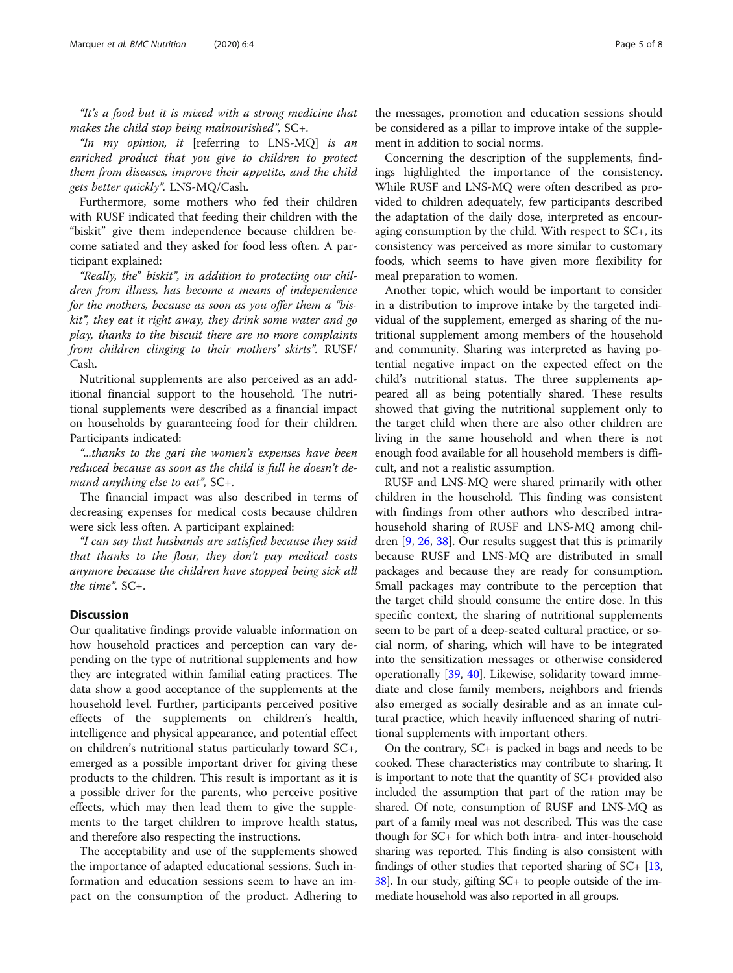"It's a food but it is mixed with a strong medicine that makes the child stop being malnourished", SC+.

"In my opinion, it [referring to  $LNS-MQ$ ] is an enriched product that you give to children to protect them from diseases, improve their appetite, and the child gets better quickly". LNS-MQ/Cash.

Furthermore, some mothers who fed their children with RUSF indicated that feeding their children with the "biskit" give them independence because children become satiated and they asked for food less often. A participant explained:

"Really, the" biskit", in addition to protecting our children from illness, has become a means of independence for the mothers, because as soon as you offer them a "biskit", they eat it right away, they drink some water and go play, thanks to the biscuit there are no more complaints from children clinging to their mothers' skirts". RUSF/ Cash.

Nutritional supplements are also perceived as an additional financial support to the household. The nutritional supplements were described as a financial impact on households by guaranteeing food for their children. Participants indicated:

"...thanks to the gari the women's expenses have been reduced because as soon as the child is full he doesn't demand anything else to eat", SC+.

The financial impact was also described in terms of decreasing expenses for medical costs because children were sick less often. A participant explained:

"I can say that husbands are satisfied because they said that thanks to the flour, they don't pay medical costs anymore because the children have stopped being sick all the time". SC+.

#### **Discussion**

Our qualitative findings provide valuable information on how household practices and perception can vary depending on the type of nutritional supplements and how they are integrated within familial eating practices. The data show a good acceptance of the supplements at the household level. Further, participants perceived positive effects of the supplements on children's health, intelligence and physical appearance, and potential effect on children's nutritional status particularly toward SC+, emerged as a possible important driver for giving these products to the children. This result is important as it is a possible driver for the parents, who perceive positive effects, which may then lead them to give the supplements to the target children to improve health status, and therefore also respecting the instructions.

The acceptability and use of the supplements showed the importance of adapted educational sessions. Such information and education sessions seem to have an impact on the consumption of the product. Adhering to

the messages, promotion and education sessions should be considered as a pillar to improve intake of the supplement in addition to social norms.

Concerning the description of the supplements, findings highlighted the importance of the consistency. While RUSF and LNS-MQ were often described as provided to children adequately, few participants described the adaptation of the daily dose, interpreted as encouraging consumption by the child. With respect to SC+, its consistency was perceived as more similar to customary foods, which seems to have given more flexibility for meal preparation to women.

Another topic, which would be important to consider in a distribution to improve intake by the targeted individual of the supplement, emerged as sharing of the nutritional supplement among members of the household and community. Sharing was interpreted as having potential negative impact on the expected effect on the child's nutritional status. The three supplements appeared all as being potentially shared. These results showed that giving the nutritional supplement only to the target child when there are also other children are living in the same household and when there is not enough food available for all household members is difficult, and not a realistic assumption.

RUSF and LNS-MQ were shared primarily with other children in the household. This finding was consistent with findings from other authors who described intrahousehold sharing of RUSF and LNS-MQ among children [[9,](#page-6-0) [26,](#page-6-0) [38](#page-6-0)]. Our results suggest that this is primarily because RUSF and LNS-MQ are distributed in small packages and because they are ready for consumption. Small packages may contribute to the perception that the target child should consume the entire dose. In this specific context, the sharing of nutritional supplements seem to be part of a deep-seated cultural practice, or social norm, of sharing, which will have to be integrated into the sensitization messages or otherwise considered operationally [\[39](#page-6-0), [40\]](#page-7-0). Likewise, solidarity toward immediate and close family members, neighbors and friends also emerged as socially desirable and as an innate cultural practice, which heavily influenced sharing of nutritional supplements with important others.

On the contrary, SC+ is packed in bags and needs to be cooked. These characteristics may contribute to sharing. It is important to note that the quantity of SC+ provided also included the assumption that part of the ration may be shared. Of note, consumption of RUSF and LNS-MQ as part of a family meal was not described. This was the case though for SC+ for which both intra- and inter-household sharing was reported. This finding is also consistent with findings of other studies that reported sharing of  $SC + [13, 13]$  $SC + [13, 13]$  $SC + [13, 13]$ [38](#page-6-0)]. In our study, gifting SC+ to people outside of the immediate household was also reported in all groups.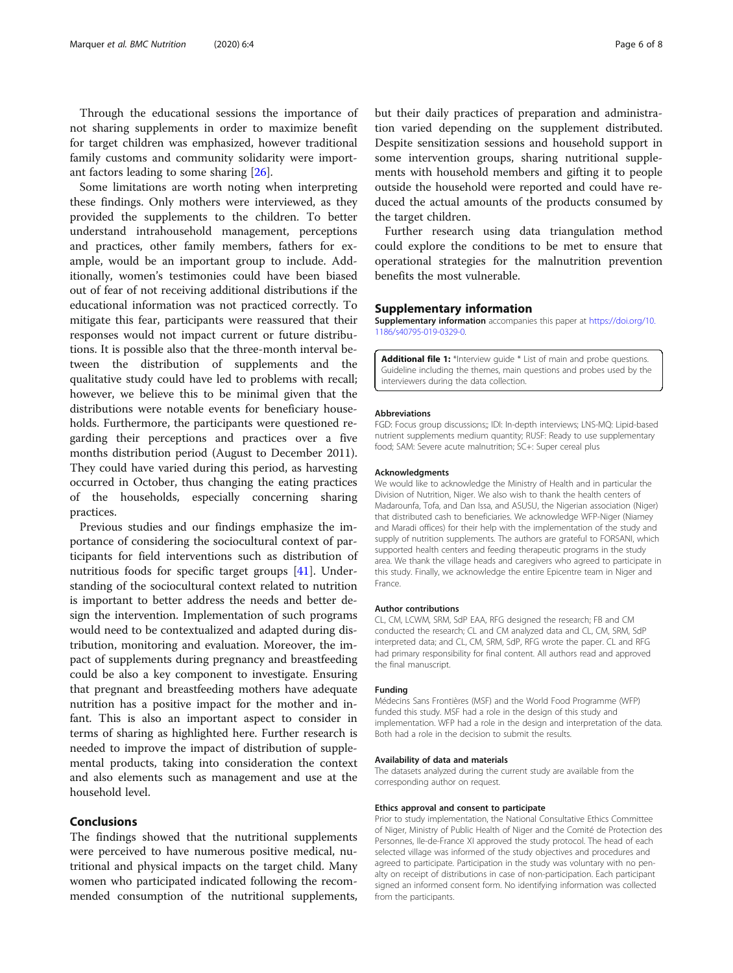<span id="page-5-0"></span>Through the educational sessions the importance of not sharing supplements in order to maximize benefit for target children was emphasized, however traditional family customs and community solidarity were important factors leading to some sharing [[26\]](#page-6-0).

Some limitations are worth noting when interpreting these findings. Only mothers were interviewed, as they provided the supplements to the children. To better understand intrahousehold management, perceptions and practices, other family members, fathers for example, would be an important group to include. Additionally, women's testimonies could have been biased out of fear of not receiving additional distributions if the educational information was not practiced correctly. To mitigate this fear, participants were reassured that their responses would not impact current or future distributions. It is possible also that the three-month interval between the distribution of supplements and the qualitative study could have led to problems with recall; however, we believe this to be minimal given that the distributions were notable events for beneficiary households. Furthermore, the participants were questioned regarding their perceptions and practices over a five months distribution period (August to December 2011). They could have varied during this period, as harvesting occurred in October, thus changing the eating practices of the households, especially concerning sharing practices.

Previous studies and our findings emphasize the importance of considering the sociocultural context of participants for field interventions such as distribution of nutritious foods for specific target groups [[41](#page-7-0)]. Understanding of the sociocultural context related to nutrition is important to better address the needs and better design the intervention. Implementation of such programs would need to be contextualized and adapted during distribution, monitoring and evaluation. Moreover, the impact of supplements during pregnancy and breastfeeding could be also a key component to investigate. Ensuring that pregnant and breastfeeding mothers have adequate nutrition has a positive impact for the mother and infant. This is also an important aspect to consider in terms of sharing as highlighted here. Further research is needed to improve the impact of distribution of supplemental products, taking into consideration the context and also elements such as management and use at the household level.

### Conclusions

The findings showed that the nutritional supplements were perceived to have numerous positive medical, nutritional and physical impacts on the target child. Many women who participated indicated following the recommended consumption of the nutritional supplements,

but their daily practices of preparation and administration varied depending on the supplement distributed. Despite sensitization sessions and household support in some intervention groups, sharing nutritional supplements with household members and gifting it to people outside the household were reported and could have reduced the actual amounts of the products consumed by the target children.

Further research using data triangulation method could explore the conditions to be met to ensure that operational strategies for the malnutrition prevention benefits the most vulnerable.

#### Supplementary information

Supplementary information accompanies this paper at [https://doi.org/10.](https://doi.org/10.1186/s40795-019-0329-0) [1186/s40795-019-0329-0.](https://doi.org/10.1186/s40795-019-0329-0)

Additional file 1: \*Interview guide \* List of main and probe questions. Guideline including the themes, main questions and probes used by the interviewers during the data collection.

#### Abbreviations

FGD: Focus group discussions;; IDI: In-depth interviews; LNS-MQ: Lipid-based nutrient supplements medium quantity; RUSF: Ready to use supplementary food; SAM: Severe acute malnutrition; SC+: Super cereal plus

#### Acknowledgments

We would like to acknowledge the Ministry of Health and in particular the Division of Nutrition, Niger. We also wish to thank the health centers of Madarounfa, Tofa, and Dan Issa, and ASUSU, the Nigerian association (Niger) that distributed cash to beneficiaries. We acknowledge WFP-Niger (Niamey and Maradi offices) for their help with the implementation of the study and supply of nutrition supplements. The authors are grateful to FORSANI, which supported health centers and feeding therapeutic programs in the study area. We thank the village heads and caregivers who agreed to participate in this study. Finally, we acknowledge the entire Epicentre team in Niger and France.

#### Author contributions

CL, CM, LCWM, SRM, SdP EAA, RFG designed the research; FB and CM conducted the research; CL and CM analyzed data and CL, CM, SRM, SdP interpreted data; and CL, CM, SRM, SdP, RFG wrote the paper. CL and RFG had primary responsibility for final content. All authors read and approved the final manuscript.

#### Funding

Médecins Sans Frontières (MSF) and the World Food Programme (WFP) funded this study. MSF had a role in the design of this study and implementation. WFP had a role in the design and interpretation of the data. Both had a role in the decision to submit the results.

#### Availability of data and materials

The datasets analyzed during the current study are available from the corresponding author on request.

#### Ethics approval and consent to participate

Prior to study implementation, the National Consultative Ethics Committee of Niger, Ministry of Public Health of Niger and the Comité de Protection des Personnes, Ile-de-France XI approved the study protocol. The head of each selected village was informed of the study objectives and procedures and agreed to participate. Participation in the study was voluntary with no penalty on receipt of distributions in case of non-participation. Each participant signed an informed consent form. No identifying information was collected from the participants.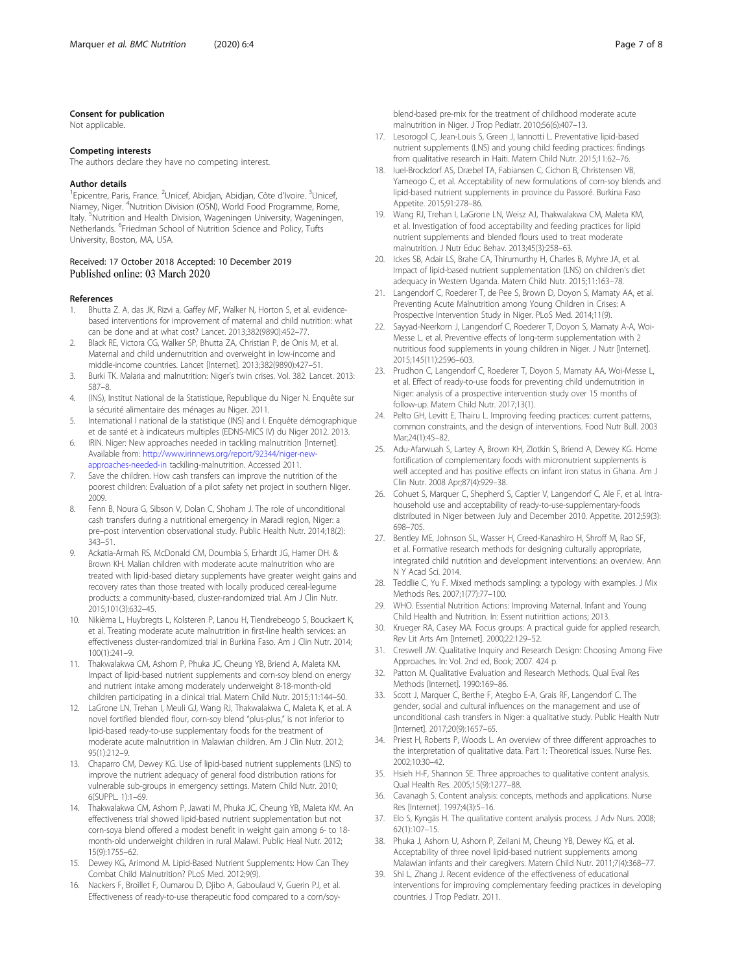#### <span id="page-6-0"></span>Consent for publication

Not applicable.

#### Competing interests

The authors declare they have no competing interest.

#### Author details

<sup>1</sup> Epicentre, Paris, France. <sup>2</sup> Unicef, Abidjan, Abidjan, Côte d'Ivoire. <sup>3</sup> Unicef, Niamey, Niger. <sup>4</sup>Nutrition Division (OSN), World Food Programme, Rome, Italy. <sup>5</sup>Nutrition and Health Division, Wageningen University, Wageningen, Netherlands. <sup>6</sup>Friedman School of Nutrition Science and Policy, Tufts University, Boston, MA, USA.

#### Received: 17 October 2018 Accepted: 10 December 2019 Published online: 03 March 2020

#### References

- Bhutta Z. A, das JK, Rizvi a, Gaffey MF, Walker N, Horton S, et al. evidencebased interventions for improvement of maternal and child nutrition: what can be done and at what cost? Lancet. 2013;382(9890):452–77.
- Black RE, Victora CG, Walker SP, Bhutta ZA, Christian P, de Onis M, et al. Maternal and child undernutrition and overweight in low-income and middle-income countries. Lancet [Internet]. 2013;382(9890):427–51.
- 3. Burki TK. Malaria and malnutrition: Niger's twin crises. Vol. 382. Lancet. 2013: 587–8.
- 4. (INS), Institut National de la Statistique, Republique du Niger N. Enquête sur la sécurité alimentaire des ménages au Niger. 2011.
- 5. International I national de la statistique (INS) and I. Enquête démographique et de santé et à indicateurs multiples (EDNS-MICS IV) du Niger 2012. 2013.
- 6. IRIN. Niger: New approaches needed in tackling malnutrition [Internet]. Available from: [http://www.irinnews.org/report/92344/niger-new](http://www.irinnews.org/report/92344/niger-new-approaches-needed-in)[approaches-needed-in](http://www.irinnews.org/report/92344/niger-new-approaches-needed-in) tackiling-malnutrition. Accessed 2011.
- 7. Save the children. How cash transfers can improve the nutrition of the poorest children: Evaluation of a pilot safety net project in southern Niger. 2009.
- 8. Fenn B, Noura G, Sibson V, Dolan C, Shoham J. The role of unconditional cash transfers during a nutritional emergency in Maradi region, Niger: a pre–post intervention observational study. Public Health Nutr. 2014;18(2): 343–51.
- 9. Ackatia-Armah RS, McDonald CM, Doumbia S, Erhardt JG, Hamer DH. & Brown KH. Malian children with moderate acute malnutrition who are treated with lipid-based dietary supplements have greater weight gains and recovery rates than those treated with locally produced cereal-legume products: a community-based, cluster-randomized trial. Am J Clin Nutr. 2015;101(3):632–45.
- 10. Nikièma L, Huybregts L, Kolsteren P, Lanou H, Tiendrebeogo S, Bouckaert K, et al. Treating moderate acute malnutrition in first-line health services: an effectiveness cluster-randomized trial in Burkina Faso. Am J Clin Nutr. 2014; 100(1):241–9.
- 11. Thakwalakwa CM, Ashorn P, Phuka JC, Cheung YB, Briend A, Maleta KM. Impact of lipid-based nutrient supplements and corn-soy blend on energy and nutrient intake among moderately underweight 8-18-month-old children participating in a clinical trial. Matern Child Nutr. 2015;11:144–50.
- 12. LaGrone LN, Trehan I, Meuli GJ, Wang RJ, Thakwalakwa C, Maleta K, et al. A novel fortified blended flour, corn-soy blend "plus-plus," is not inferior to lipid-based ready-to-use supplementary foods for the treatment of moderate acute malnutrition in Malawian children. Am J Clin Nutr. 2012; 95(1):212–9.
- 13. Chaparro CM, Dewey KG. Use of lipid-based nutrient supplements (LNS) to improve the nutrient adequacy of general food distribution rations for vulnerable sub-groups in emergency settings. Matern Child Nutr. 2010; 6(SUPPL. 1):1–69.
- 14. Thakwalakwa CM, Ashorn P, Jawati M, Phuka JC, Cheung YB, Maleta KM. An effectiveness trial showed lipid-based nutrient supplementation but not corn-soya blend offered a modest benefit in weight gain among 6- to 18 month-old underweight children in rural Malawi. Public Heal Nutr. 2012; 15(9):1755–62.
- 15. Dewey KG, Arimond M. Lipid-Based Nutrient Supplements: How Can They Combat Child Malnutrition? PLoS Med. 2012;9(9).
- 16. Nackers F, Broillet F, Oumarou D, Djibo A, Gaboulaud V, Guerin PJ, et al. Effectiveness of ready-to-use therapeutic food compared to a corn/soy-

blend-based pre-mix for the treatment of childhood moderate acute malnutrition in Niger. J Trop Pediatr. 2010;56(6):407–13.

- 17. Lesorogol C, Jean-Louis S, Green J, Iannotti L. Preventative lipid-based nutrient supplements (LNS) and young child feeding practices: findings from qualitative research in Haiti. Matern Child Nutr. 2015;11:62–76.
- 18. Iuel-Brockdorf AS, Dræbel TA, Fabiansen C, Cichon B, Christensen VB, Yameogo C, et al. Acceptability of new formulations of corn-soy blends and lipid-based nutrient supplements in province du Passoré. Burkina Faso Appetite. 2015;91:278–86.
- 19. Wang RJ, Trehan I, LaGrone LN, Weisz AJ, Thakwalakwa CM, Maleta KM, et al. Investigation of food acceptability and feeding practices for lipid nutrient supplements and blended flours used to treat moderate malnutrition. J Nutr Educ Behav. 2013;45(3):258–63.
- 20. Ickes SB, Adair LS, Brahe CA, Thirumurthy H, Charles B, Myhre JA, et al. Impact of lipid-based nutrient supplementation (LNS) on children's diet adequacy in Western Uganda. Matern Child Nutr. 2015;11:163–78.
- 21. Langendorf C, Roederer T, de Pee S, Brown D, Doyon S, Mamaty AA, et al. Preventing Acute Malnutrition among Young Children in Crises: A Prospective Intervention Study in Niger. PLoS Med. 2014;11(9).
- 22. Sayyad-Neerkorn J, Langendorf C, Roederer T, Doyon S, Mamaty A-A, Woi-Messe L, et al. Preventive effects of long-term supplementation with 2 nutritious food supplements in young children in Niger. J Nutr [Internet]. 2015;145(11):2596–603.
- 23. Prudhon C, Langendorf C, Roederer T, Doyon S, Mamaty AA, Woi-Messe L, et al. Effect of ready-to-use foods for preventing child undernutrition in Niger: analysis of a prospective intervention study over 15 months of follow-up. Matern Child Nutr. 2017;13(1).
- 24. Pelto GH, Levitt E, Thairu L. Improving feeding practices: current patterns, common constraints, and the design of interventions. Food Nutr Bull. 2003 Mar;24(1):45–82.
- 25. Adu-Afarwuah S, Lartey A, Brown KH, Zlotkin S, Briend A, Dewey KG. Home fortification of complementary foods with micronutrient supplements is well accepted and has positive effects on infant iron status in Ghana. Am J Clin Nutr. 2008 Apr;87(4):929–38.
- 26. Cohuet S, Marquer C, Shepherd S, Captier V, Langendorf C, Ale F, et al. Intrahousehold use and acceptability of ready-to-use-supplementary-foods distributed in Niger between July and December 2010. Appetite. 2012;59(3): 698–705.
- 27. Bentley ME, Johnson SL, Wasser H, Creed-Kanashiro H, Shroff M, Rao SF, et al. Formative research methods for designing culturally appropriate, integrated child nutrition and development interventions: an overview. Ann N Y Acad Sci. 2014.
- 28. Teddlie C, Yu F. Mixed methods sampling: a typology with examples. J Mix Methods Res. 2007;1(77):77–100.
- 29. WHO. Essential Nutrition Actions: Improving Maternal. Infant and Young Child Health and Nutrition. In: Essent nutirittion actions; 2013.
- 30. Krueger RA, Casey MA. Focus groups: A practical guide for applied research. Rev Lit Arts Am [Internet]. 2000;22:129–52.
- 31. Creswell JW. Qualitative Inquiry and Research Design: Choosing Among Five Approaches. In: Vol. 2nd ed, Book; 2007. 424 p.
- 32. Patton M. Qualitative Evaluation and Research Methods. Qual Eval Res Methods [Internet]. 1990:169–86.
- 33. Scott J, Marquer C, Berthe F, Ategbo E-A, Grais RF, Langendorf C. The gender, social and cultural influences on the management and use of unconditional cash transfers in Niger: a qualitative study. Public Health Nutr [Internet]. 2017;20(9):1657–65.
- 34. Priest H, Roberts P, Woods L. An overview of three different approaches to the interpretation of qualitative data. Part 1: Theoretical issues. Nurse Res. 2002;10:30–42.
- 35. Hsieh H-F, Shannon SE. Three approaches to qualitative content analysis. Qual Health Res. 2005;15(9):1277–88.
- 36. Cavanagh S. Content analysis: concepts, methods and applications. Nurse Res [Internet]. 1997;4(3):5–16.
- 37. Elo S, Kyngäs H. The qualitative content analysis process. J Adv Nurs. 2008; 62(1):107–15.
- 38. Phuka J, Ashorn U, Ashorn P, Zeilani M, Cheung YB, Dewey KG, et al. Acceptability of three novel lipid-based nutrient supplements among Malawian infants and their caregivers. Matern Child Nutr. 2011;7(4):368–77.
- 39. Shi L, Zhang J. Recent evidence of the effectiveness of educational interventions for improving complementary feeding practices in developing countries. J Trop Pediatr. 2011.